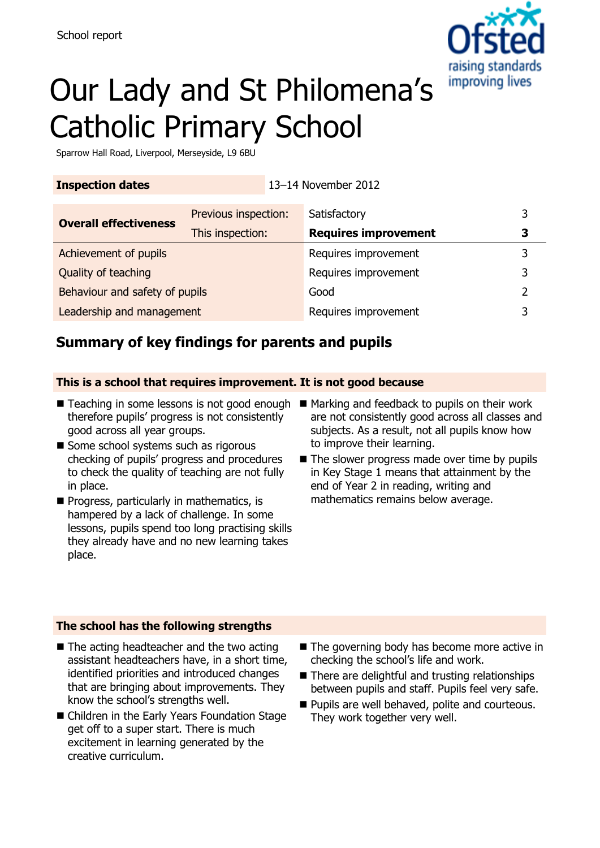

# Our Lady and St Philomena's Catholic Primary School

Sparrow Hall Road, Liverpool, Merseyside, L9 6BU

| <b>Inspection dates</b> | 13-14 November 2012 |
|-------------------------|---------------------|
|                         |                     |

| <b>Overall effectiveness</b>   | Previous inspection: | Satisfactory                | 3 |
|--------------------------------|----------------------|-----------------------------|---|
|                                | This inspection:     | <b>Requires improvement</b> | З |
| Achievement of pupils          |                      | Requires improvement        | २ |
| Quality of teaching            |                      | Requires improvement        | 3 |
| Behaviour and safety of pupils |                      | Good                        | າ |
| Leadership and management      |                      | Requires improvement        | っ |

# **Summary of key findings for parents and pupils**

### **This is a school that requires improvement. It is not good because**

- Teaching in some lessons is not good enough Marking and feedback to pupils on their work therefore pupils' progress is not consistently good across all year groups.
- Some school systems such as rigorous checking of pupils' progress and procedures to check the quality of teaching are not fully in place.
- $\blacksquare$  Progress, particularly in mathematics, is hampered by a lack of challenge. In some lessons, pupils spend too long practising skills they already have and no new learning takes place.
- are not consistently good across all classes and subjects. As a result, not all pupils know how to improve their learning.
- $\blacksquare$  The slower progress made over time by pupils in Key Stage 1 means that attainment by the end of Year 2 in reading, writing and mathematics remains below average.

#### **The school has the following strengths**

- $\blacksquare$  The acting headteacher and the two acting assistant headteachers have, in a short time, identified priorities and introduced changes that are bringing about improvements. They know the school's strengths well.
- Children in the Early Years Foundation Stage get off to a super start. There is much excitement in learning generated by the creative curriculum.
- $\blacksquare$  The governing body has become more active in checking the school's life and work.
- There are delightful and trusting relationships between pupils and staff. Pupils feel very safe.
- **Pupils are well behaved, polite and courteous.** They work together very well.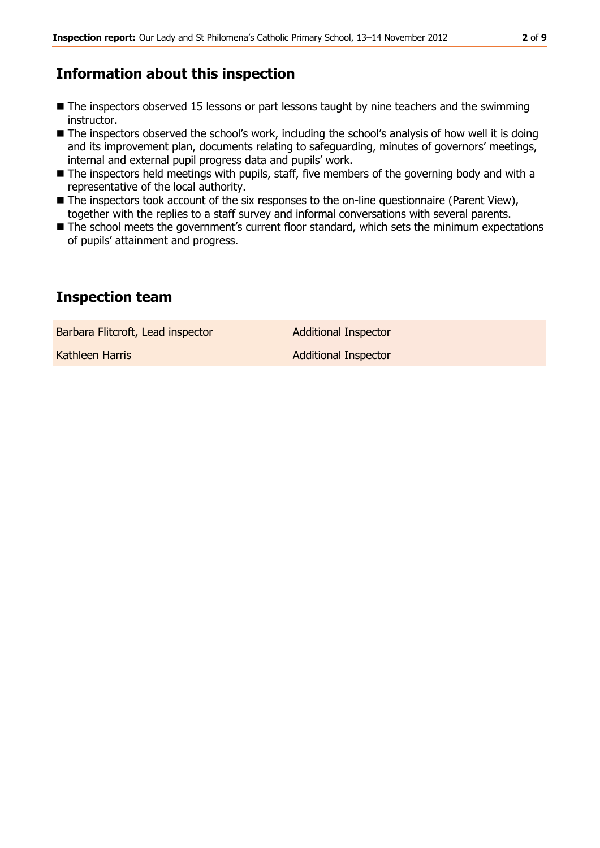# **Information about this inspection**

- The inspectors observed 15 lessons or part lessons taught by nine teachers and the swimming instructor.
- The inspectors observed the school's work, including the school's analysis of how well it is doing and its improvement plan, documents relating to safeguarding, minutes of governors' meetings, internal and external pupil progress data and pupils' work.
- The inspectors held meetings with pupils, staff, five members of the governing body and with a representative of the local authority.
- The inspectors took account of the six responses to the on-line questionnaire (Parent View), together with the replies to a staff survey and informal conversations with several parents.
- The school meets the government's current floor standard, which sets the minimum expectations of pupils' attainment and progress.

# **Inspection team**

Barbara Flitcroft, Lead inspector **Additional Inspector** 

Kathleen Harris **Additional Inspector** Additional Inspector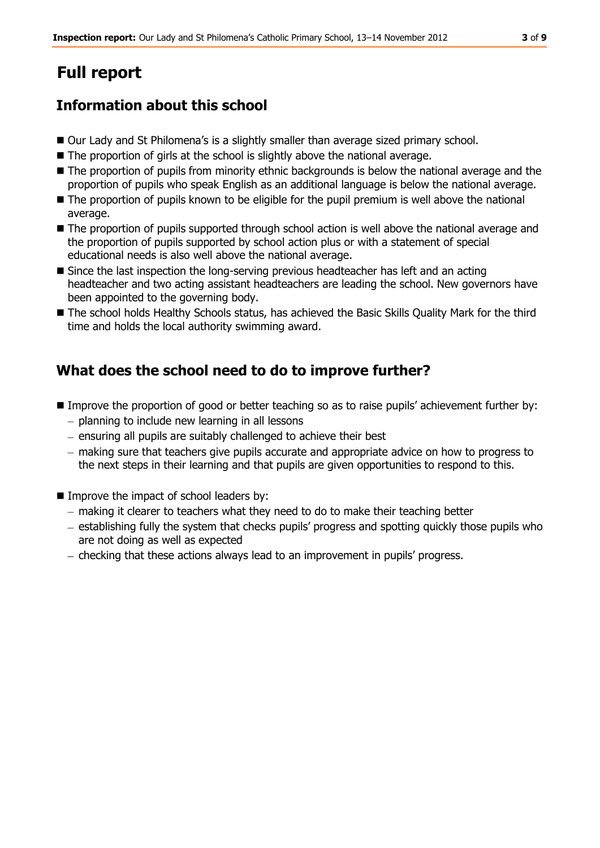# **Full report**

# **Information about this school**

- Our Lady and St Philomena's is a slightly smaller than average sized primary school.
- The proportion of girls at the school is slightly above the national average.
- The proportion of pupils from minority ethnic backgrounds is below the national average and the proportion of pupils who speak English as an additional language is below the national average.
- $\blacksquare$  The proportion of pupils known to be eligible for the pupil premium is well above the national average.
- The proportion of pupils supported through school action is well above the national average and the proportion of pupils supported by school action plus or with a statement of special educational needs is also well above the national average.
- Since the last inspection the long-serving previous headteacher has left and an acting headteacher and two acting assistant headteachers are leading the school. New governors have been appointed to the governing body.
- The school holds Healthy Schools status, has achieved the Basic Skills Quality Mark for the third time and holds the local authority swimming award.

# **What does the school need to do to improve further?**

- Improve the proportion of good or better teaching so as to raise pupils' achievement further by:  $-$  planning to include new learning in all lessons
	- $-$  ensuring all pupils are suitably challenged to achieve their best
	- making sure that teachers give pupils accurate and appropriate advice on how to progress to the next steps in their learning and that pupils are given opportunities to respond to this.
- Improve the impact of school leaders by:
	- making it clearer to teachers what they need to do to make their teaching better
	- establishing fully the system that checks pupils' progress and spotting quickly those pupils who are not doing as well as expected
	- checking that these actions always lead to an improvement in pupils' progress.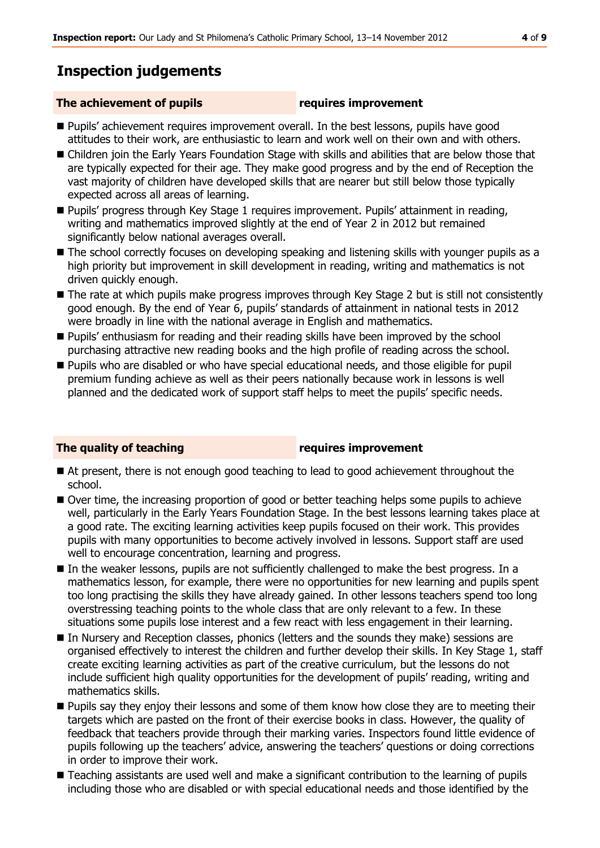# **Inspection judgements**

### **The achievement of pupils requires improvement**

- **Pupils'** achievement requires improvement overall. In the best lessons, pupils have good attitudes to their work, are enthusiastic to learn and work well on their own and with others.
- Children join the Early Years Foundation Stage with skills and abilities that are below those that are typically expected for their age. They make good progress and by the end of Reception the vast majority of children have developed skills that are nearer but still below those typically expected across all areas of learning.
- Pupils' progress through Key Stage 1 requires improvement. Pupils' attainment in reading, writing and mathematics improved slightly at the end of Year 2 in 2012 but remained significantly below national averages overall.
- The school correctly focuses on developing speaking and listening skills with younger pupils as a high priority but improvement in skill development in reading, writing and mathematics is not driven quickly enough.
- The rate at which pupils make progress improves through Key Stage 2 but is still not consistently good enough. By the end of Year 6, pupils' standards of attainment in national tests in 2012 were broadly in line with the national average in English and mathematics.
- **Pupils'** enthusiasm for reading and their reading skills have been improved by the school purchasing attractive new reading books and the high profile of reading across the school.
- **Pupils who are disabled or who have special educational needs, and those eligible for pupil** premium funding achieve as well as their peers nationally because work in lessons is well planned and the dedicated work of support staff helps to meet the pupils' specific needs.

### **The quality of teaching requires improvement**

- At present, there is not enough good teaching to lead to good achievement throughout the school.
- Over time, the increasing proportion of good or better teaching helps some pupils to achieve well, particularly in the Early Years Foundation Stage. In the best lessons learning takes place at a good rate. The exciting learning activities keep pupils focused on their work. This provides pupils with many opportunities to become actively involved in lessons. Support staff are used well to encourage concentration, learning and progress.
- In the weaker lessons, pupils are not sufficiently challenged to make the best progress. In a mathematics lesson, for example, there were no opportunities for new learning and pupils spent too long practising the skills they have already gained. In other lessons teachers spend too long overstressing teaching points to the whole class that are only relevant to a few. In these situations some pupils lose interest and a few react with less engagement in their learning.
- In Nursery and Reception classes, phonics (letters and the sounds they make) sessions are organised effectively to interest the children and further develop their skills. In Key Stage 1, staff create exciting learning activities as part of the creative curriculum, but the lessons do not include sufficient high quality opportunities for the development of pupils' reading, writing and mathematics skills.
- **Pupils say they enjoy their lessons and some of them know how close they are to meeting their** targets which are pasted on the front of their exercise books in class. However, the quality of feedback that teachers provide through their marking varies. Inspectors found little evidence of pupils following up the teachers' advice, answering the teachers' questions or doing corrections in order to improve their work.
- Teaching assistants are used well and make a significant contribution to the learning of pupils including those who are disabled or with special educational needs and those identified by the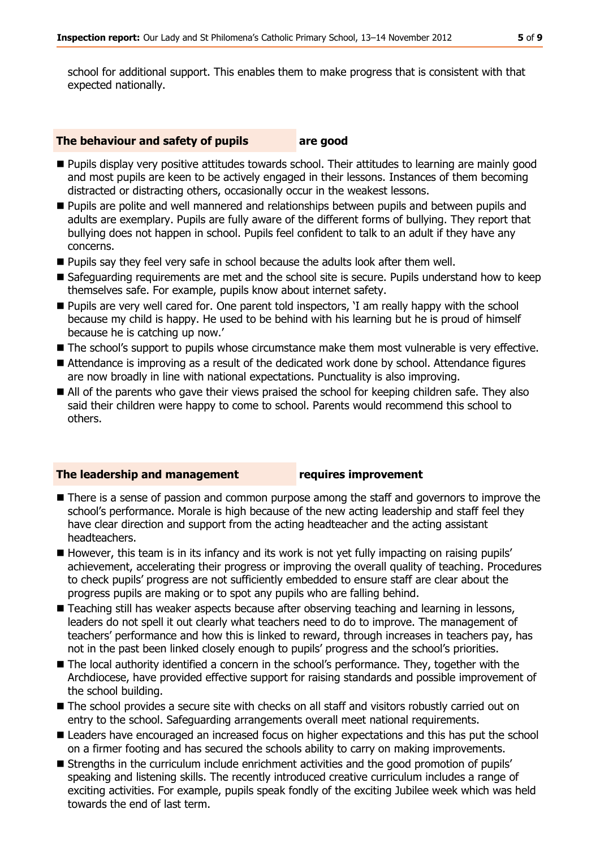school for additional support. This enables them to make progress that is consistent with that expected nationally.

#### **The behaviour and safety of pupils are good**

- **Pupils display very positive attitudes towards school. Their attitudes to learning are mainly good** and most pupils are keen to be actively engaged in their lessons. Instances of them becoming distracted or distracting others, occasionally occur in the weakest lessons.
- **Pupils are polite and well mannered and relationships between pupils and between pupils and Pupils** adults are exemplary. Pupils are fully aware of the different forms of bullying. They report that bullying does not happen in school. Pupils feel confident to talk to an adult if they have any concerns.
- **Pupils say they feel very safe in school because the adults look after them well.**
- Safeguarding requirements are met and the school site is secure. Pupils understand how to keep themselves safe. For example, pupils know about internet safety.
- **Pupils are very well cared for. One parent told inspectors, 'I am really happy with the school** because my child is happy. He used to be behind with his learning but he is proud of himself because he is catching up now.'
- **The school's support to pupils whose circumstance make them most vulnerable is very effective.**
- Attendance is improving as a result of the dedicated work done by school. Attendance figures are now broadly in line with national expectations. Punctuality is also improving.
- All of the parents who gave their views praised the school for keeping children safe. They also said their children were happy to come to school. Parents would recommend this school to others.

#### **The leadership and management requires improvement**

- There is a sense of passion and common purpose among the staff and governors to improve the school's performance. Morale is high because of the new acting leadership and staff feel they have clear direction and support from the acting headteacher and the acting assistant headteachers.
- $\blacksquare$  However, this team is in its infancy and its work is not yet fully impacting on raising pupils' achievement, accelerating their progress or improving the overall quality of teaching. Procedures to check pupils' progress are not sufficiently embedded to ensure staff are clear about the progress pupils are making or to spot any pupils who are falling behind.
- Teaching still has weaker aspects because after observing teaching and learning in lessons, leaders do not spell it out clearly what teachers need to do to improve. The management of teachers' performance and how this is linked to reward, through increases in teachers pay, has not in the past been linked closely enough to pupils' progress and the school's priorities.
- The local authority identified a concern in the school's performance. They, together with the Archdiocese, have provided effective support for raising standards and possible improvement of the school building.
- The school provides a secure site with checks on all staff and visitors robustly carried out on entry to the school. Safeguarding arrangements overall meet national requirements.
- **E** Leaders have encouraged an increased focus on higher expectations and this has put the school on a firmer footing and has secured the schools ability to carry on making improvements.
- Strengths in the curriculum include enrichment activities and the good promotion of pupils' speaking and listening skills. The recently introduced creative curriculum includes a range of exciting activities. For example, pupils speak fondly of the exciting Jubilee week which was held towards the end of last term.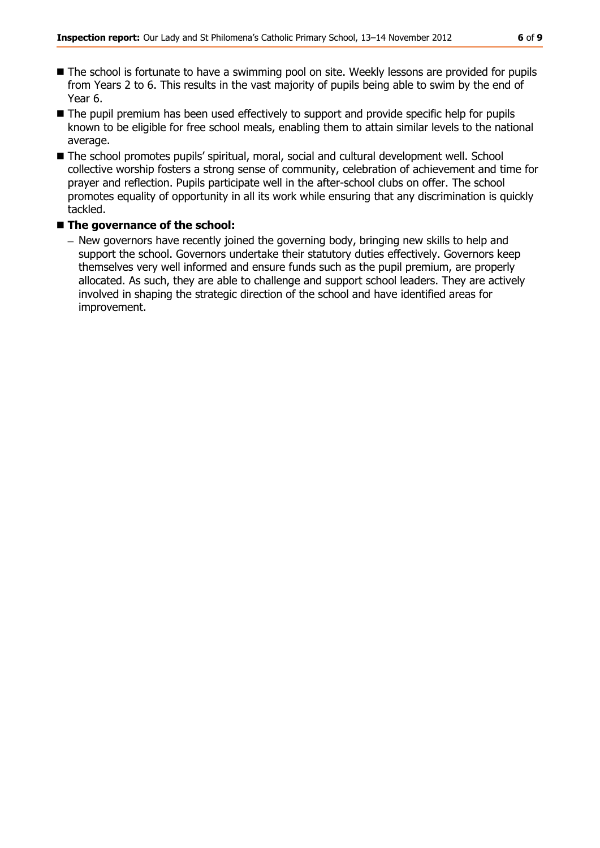- The school is fortunate to have a swimming pool on site. Weekly lessons are provided for pupils from Years 2 to 6. This results in the vast majority of pupils being able to swim by the end of Year 6.
- The pupil premium has been used effectively to support and provide specific help for pupils known to be eligible for free school meals, enabling them to attain similar levels to the national average.
- The school promotes pupils' spiritual, moral, social and cultural development well. School collective worship fosters a strong sense of community, celebration of achievement and time for prayer and reflection. Pupils participate well in the after-school clubs on offer. The school promotes equality of opportunity in all its work while ensuring that any discrimination is quickly tackled.

### ■ The governance of the school:

- New governors have recently joined the governing body, bringing new skills to help and support the school. Governors undertake their statutory duties effectively. Governors keep themselves very well informed and ensure funds such as the pupil premium, are properly allocated. As such, they are able to challenge and support school leaders. They are actively involved in shaping the strategic direction of the school and have identified areas for improvement.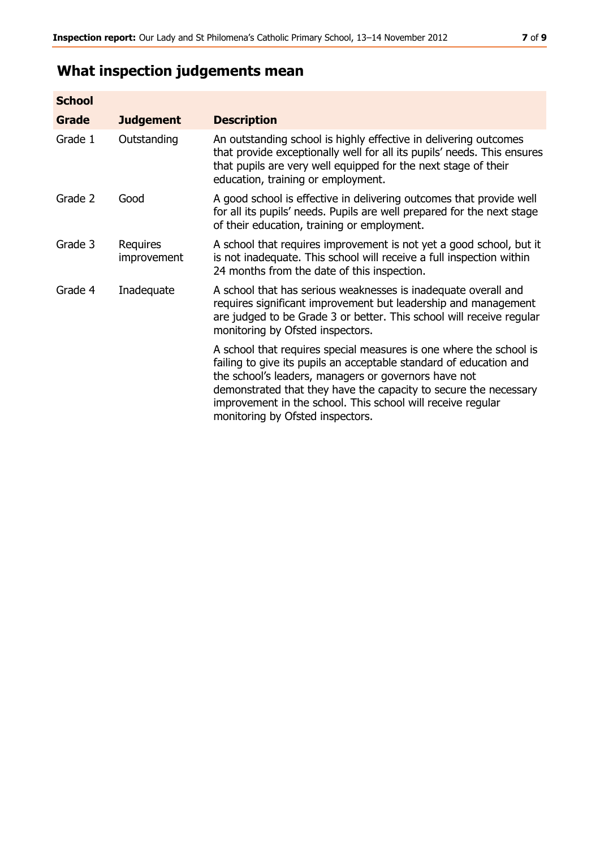# **What inspection judgements mean**

| <b>School</b> |                         |                                                                                                                                                                                                                                                                                                                                                                         |
|---------------|-------------------------|-------------------------------------------------------------------------------------------------------------------------------------------------------------------------------------------------------------------------------------------------------------------------------------------------------------------------------------------------------------------------|
| Grade         | <b>Judgement</b>        | <b>Description</b>                                                                                                                                                                                                                                                                                                                                                      |
| Grade 1       | Outstanding             | An outstanding school is highly effective in delivering outcomes<br>that provide exceptionally well for all its pupils' needs. This ensures<br>that pupils are very well equipped for the next stage of their<br>education, training or employment.                                                                                                                     |
| Grade 2       | Good                    | A good school is effective in delivering outcomes that provide well<br>for all its pupils' needs. Pupils are well prepared for the next stage<br>of their education, training or employment.                                                                                                                                                                            |
| Grade 3       | Requires<br>improvement | A school that requires improvement is not yet a good school, but it<br>is not inadequate. This school will receive a full inspection within<br>24 months from the date of this inspection.                                                                                                                                                                              |
| Grade 4       | Inadequate              | A school that has serious weaknesses is inadequate overall and<br>requires significant improvement but leadership and management<br>are judged to be Grade 3 or better. This school will receive regular<br>monitoring by Ofsted inspectors.                                                                                                                            |
|               |                         | A school that requires special measures is one where the school is<br>failing to give its pupils an acceptable standard of education and<br>the school's leaders, managers or governors have not<br>demonstrated that they have the capacity to secure the necessary<br>improvement in the school. This school will receive regular<br>monitoring by Ofsted inspectors. |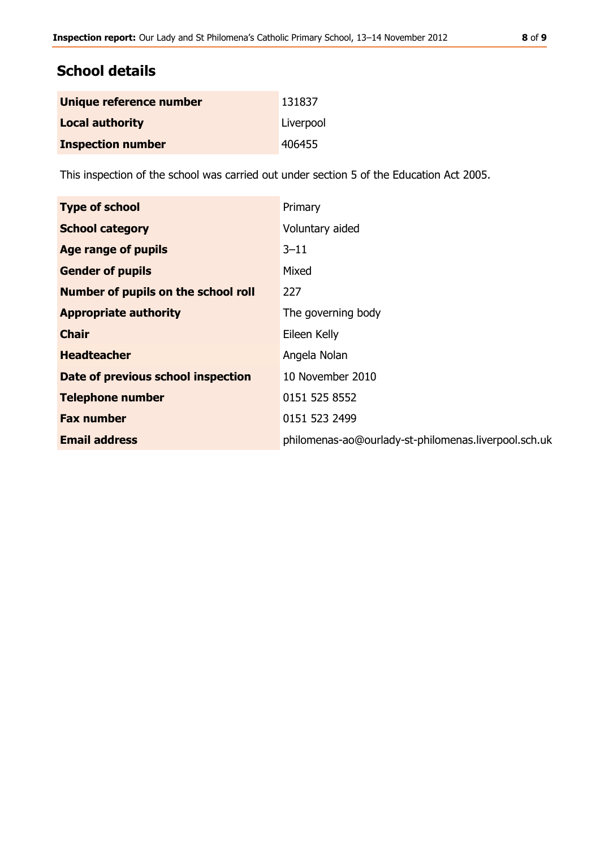# **School details**

| Unique reference number  | 131837    |
|--------------------------|-----------|
| <b>Local authority</b>   | Liverpool |
| <b>Inspection number</b> | 406455    |

This inspection of the school was carried out under section 5 of the Education Act 2005.

| Primary                                              |
|------------------------------------------------------|
| Voluntary aided                                      |
| $3 - 11$                                             |
| Mixed                                                |
| 227                                                  |
| The governing body                                   |
| Eileen Kelly                                         |
| Angela Nolan                                         |
| 10 November 2010                                     |
| 0151 525 8552                                        |
| 0151 523 2499                                        |
| philomenas-ao@ourlady-st-philomenas.liverpool.sch.uk |
|                                                      |